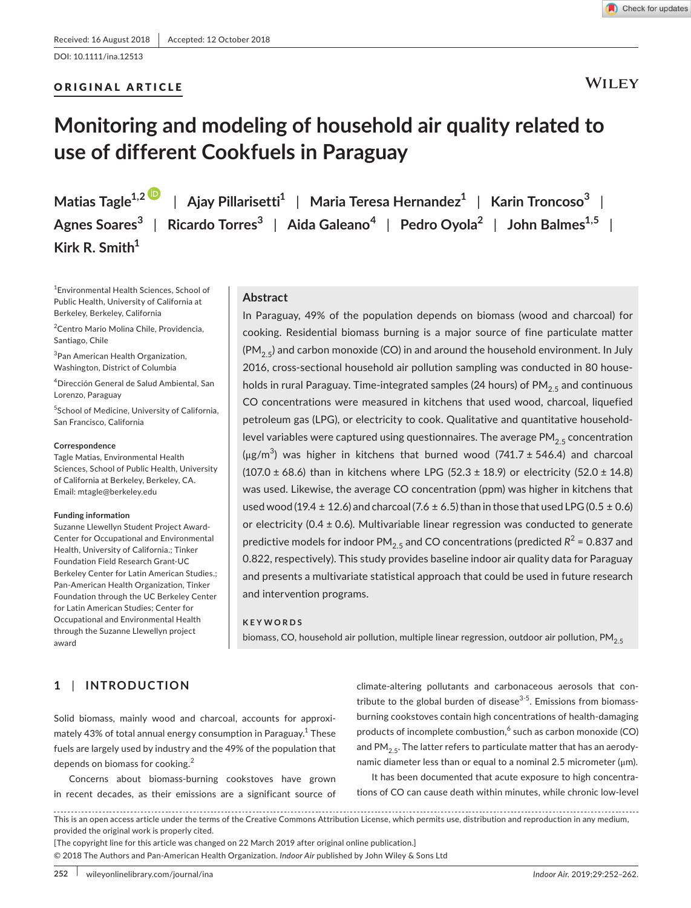DOI: 10.1111/ina.12513

## ORIGINAL ARTICLE



**WILEY** 

# **Monitoring and modeling of household air quality related to use of different Cookfuels in Paraguay**

**Matias Tagle1,[2](http://orcid.org/0000-0001-7782-601X)** | **Ajay Pillarisetti<sup>1</sup>** | **Maria Teresa Hernandez<sup>1</sup>** | **Karin Troncoso<sup>3</sup>** | **Agnes Soares<sup>3</sup>** | **Ricardo Torres<sup>3</sup>** | **Aida Galeano<sup>4</sup>** | **Pedro Oyola<sup>2</sup>** | **John Balmes1,5** | **Kirk R. Smith<sup>1</sup>**

1 Environmental Health Sciences, School of Public Health, University of California at Berkeley, Berkeley, California

2 Centro Mario Molina Chile, Providencia, Santiago, Chile

<sup>3</sup> Pan American Health Organization, Washington, District of Columbia

4 Dirección General de Salud Ambiental, San Lorenzo, Paraguay

5 School of Medicine, University of California, San Francisco, California

#### **Correspondence**

Tagle Matias, Environmental Health Sciences, School of Public Health, University of California at Berkeley, Berkeley, CA. Email: [mtagle@berkeley.edu](mailto:mtagle@berkeley.edu)

#### **Funding information**

Suzanne Llewellyn Student Project Award-Center for Occupational and Environmental Health, University of California.; Tinker Foundation Field Research Grant-UC Berkeley Center for Latin American Studies.; Pan-American Health Organization, Tinker Foundation through the UC Berkeley Center for Latin American Studies; Center for Occupational and Environmental Health through the Suzanne Llewellyn project award

#### **Abstract**

In Paraguay, 49% of the population depends on biomass (wood and charcoal) for cooking. Residential biomass burning is a major source of fine particulate matter  $(PM<sub>2.5</sub>)$  and carbon monoxide (CO) in and around the household environment. In July 2016, cross-sectional household air pollution sampling was conducted in 80 households in rural Paraguay. Time-integrated samples (24 hours) of  $PM_{2.5}$  and continuous CO concentrations were measured in kitchens that used wood, charcoal, liquefied petroleum gas (LPG), or electricity to cook. Qualitative and quantitative householdlevel variables were captured using questionnaires. The average  $PM_{2.5}$  concentration (μg/m<sup>3</sup>) was higher in kitchens that burned wood (741.7 ± 546.4) and charcoal (107.0  $\pm$  68.6) than in kitchens where LPG (52.3  $\pm$  18.9) or electricity (52.0  $\pm$  14.8) was used. Likewise, the average CO concentration (ppm) was higher in kitchens that used wood (19.4  $\pm$  12.6) and charcoal (7.6  $\pm$  6.5) than in those that used LPG (0.5  $\pm$  0.6) or electricity (0.4  $\pm$  0.6). Multivariable linear regression was conducted to generate predictive models for indoor PM<sub>2.5</sub> and CO concentrations (predicted  $R^2$  = 0.837 and 0.822, respectively). This study provides baseline indoor air quality data for Paraguay and presents a multivariate statistical approach that could be used in future research and intervention programs.

#### **KEYWORDS**

biomass, CO, household air pollution, multiple linear regression, outdoor air pollution, PM<sub>2.5</sub>

## **1** | **INTRODUCTION**

Solid biomass, mainly wood and charcoal, accounts for approximately 43% of total annual energy consumption in Paraguay. $^{\rm 1}$  These fuels are largely used by industry and the 49% of the population that depends on biomass for cooking.<sup>2</sup>

Concerns about biomass-burning cookstoves have grown in recent decades, as their emissions are a significant source of

climate-altering pollutants and carbonaceous aerosols that contribute to the global burden of disease $3-5$ . Emissions from biomassburning cookstoves contain high concentrations of health-damaging products of incomplete combustion, $^6$  such as carbon monoxide (CO) and PM<sub>2.5</sub>. The latter refers to particulate matter that has an aerodynamic diameter less than or equal to a nominal 2.5 micrometer (μm).

It has been documented that acute exposure to high concentrations of CO can cause death within minutes, while chronic low-level

This is an open access article under the terms of the [Creative Commons Attribution](http://creativecommons.org/licenses/by/4.0/) License, which permits use, distribution and reproduction in any medium, provided the original work is properly cited.

[The copyright line for this article was changed on 22 March 2019 after original online publication.]

© 2018 The Authors and Pan-American Health Organization. *Indoor Air* published by John Wiley & Sons Ltd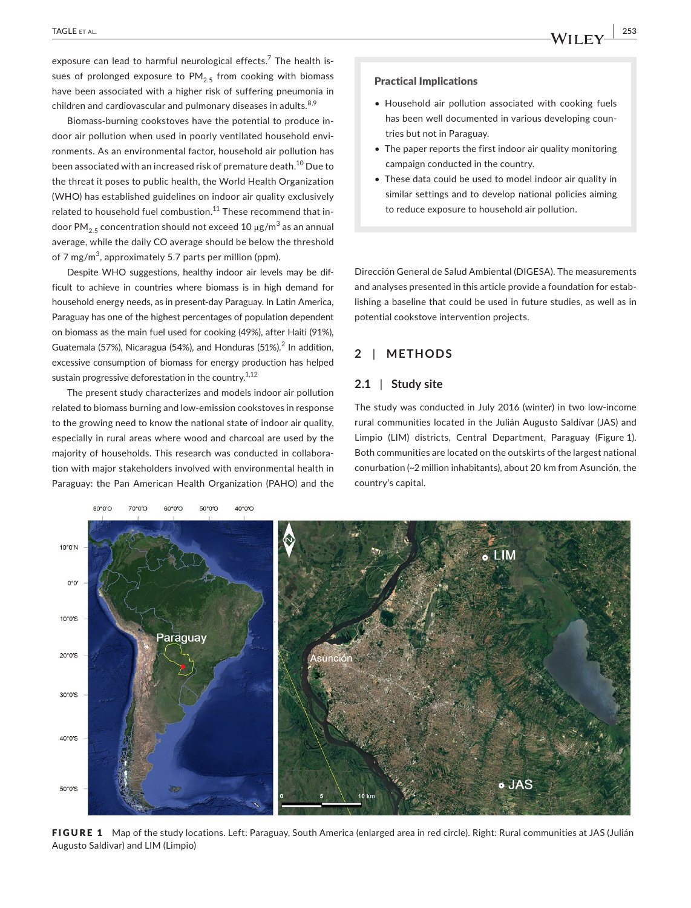exposure can lead to harmful neurological effects.<sup>7</sup> The health issues of prolonged exposure to  $PM_{2.5}$  from cooking with biomass have been associated with a higher risk of suffering pneumonia in

Biomass-burning cookstoves have the potential to produce indoor air pollution when used in poorly ventilated household environments. As an environmental factor, household air pollution has been associated with an increased risk of premature death.10 Due to the threat it poses to public health, the World Health Organization (WHO) has established guidelines on indoor air quality exclusively related to household fuel combustion.<sup>11</sup> These recommend that indoor PM $_{2.5}$  concentration should not exceed 10 μg/m $^3$  as an annual average, while the daily CO average should be below the threshold of 7 mg/m $^3$ , approximately 5.7 parts per million (ppm).

children and cardiovascular and pulmonary diseases in adults. $8,9$ 

Despite WHO suggestions, healthy indoor air levels may be difficult to achieve in countries where biomass is in high demand for household energy needs, as in present-day Paraguay. In Latin America, Paraguay has one of the highest percentages of population dependent on biomass as the main fuel used for cooking (49%), after Haiti (91%), Guatemala (57%), Nicaragua (54%), and Honduras (51%).<sup>2</sup> In addition, excessive consumption of biomass for energy production has helped sustain progressive deforestation in the country.<sup>1,12</sup>

The present study characterizes and models indoor air pollution related to biomass burning and low-emission cookstoves in response to the growing need to know the national state of indoor air quality, especially in rural areas where wood and charcoal are used by the majority of households. This research was conducted in collaboration with major stakeholders involved with environmental health in Paraguay: the Pan American Health Organization (PAHO) and the

#### Practical Implications

- Household air pollution associated with cooking fuels has been well documented in various developing countries but not in Paraguay.
- The paper reports the first indoor air quality monitoring campaign conducted in the country.
- These data could be used to model indoor air quality in similar settings and to develop national policies aiming to reduce exposure to household air pollution.

Dirección General de Salud Ambiental (DIGESA). The measurements and analyses presented in this article provide a foundation for establishing a baseline that could be used in future studies, as well as in potential cookstove intervention projects.

## **2** | **METHODS**

## **2.1** | **Study site**

The study was conducted in July 2016 (winter) in two low-income rural communities located in the Julián Augusto Saldívar (JAS) and Limpio (LIM) districts, Central Department, Paraguay (Figure 1). Both communities are located on the outskirts of the largest national conurbation (~2 million inhabitants), about 20 km from Asunción, the country's capital.



FIGURE 1 Map of the study locations. Left: Paraguay, South America (enlarged area in red circle). Right: Rural communities at JAS (Julián Augusto Saldivar) and LIM (Limpio)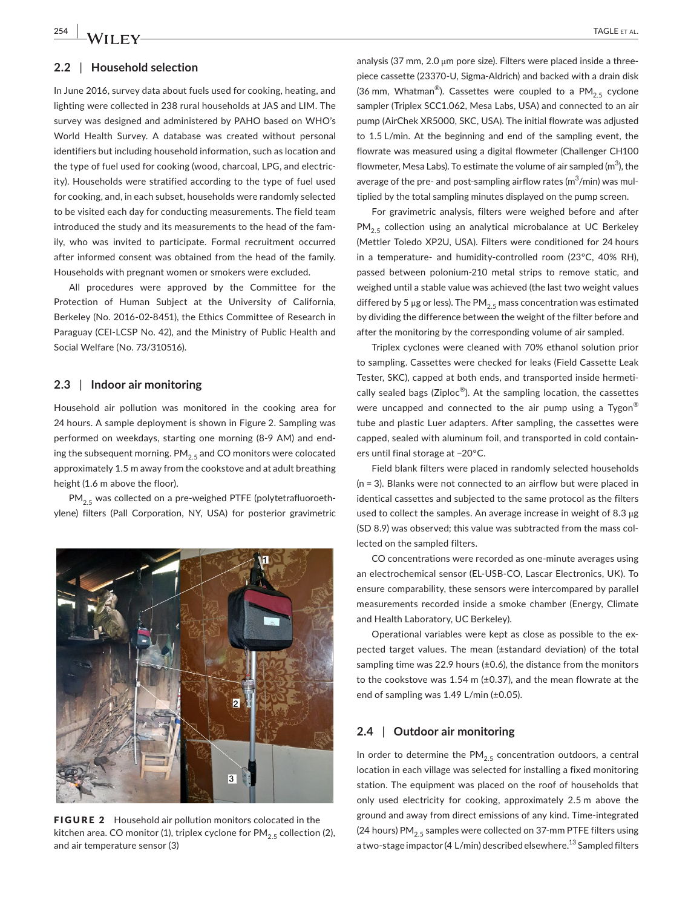#### **2.2** | **Household selection**

In June 2016, survey data about fuels used for cooking, heating, and lighting were collected in 238 rural households at JAS and LIM. The survey was designed and administered by PAHO based on WHO's World Health Survey. A database was created without personal identifiers but including household information, such as location and the type of fuel used for cooking (wood, charcoal, LPG, and electricity). Households were stratified according to the type of fuel used for cooking, and, in each subset, households were randomly selected to be visited each day for conducting measurements. The field team introduced the study and its measurements to the head of the family, who was invited to participate. Formal recruitment occurred after informed consent was obtained from the head of the family. Households with pregnant women or smokers were excluded.

All procedures were approved by the Committee for the Protection of Human Subject at the University of California, Berkeley (No. 2016-02-8451), the Ethics Committee of Research in Paraguay (CEI-LCSP No. 42), and the Ministry of Public Health and Social Welfare (No. 73/310516).

## **2.3** | **Indoor air monitoring**

Household air pollution was monitored in the cooking area for 24 hours. A sample deployment is shown in Figure 2. Sampling was performed on weekdays, starting one morning (8-9 AM) and ending the subsequent morning.  $PM_{2.5}$  and CO monitors were colocated approximately 1.5 m away from the cookstove and at adult breathing height (1.6 m above the floor).

 $PM_{2.5}$  was collected on a pre-weighed PTFE (polytetrafluoroethylene) filters (Pall Corporation, NY, USA) for posterior gravimetric



FIGURE 2 Household air pollution monitors colocated in the kitchen area. CO monitor (1), triplex cyclone for  $PM_{2.5}$  collection (2), and air temperature sensor (3)

analysis (37 mm, 2.0 μm pore size). Filters were placed inside a threepiece cassette (23370-U, Sigma-Aldrich) and backed with a drain disk (36 mm, Whatman®). Cassettes were coupled to a  $PM_{2.5}$  cyclone sampler (Triplex SCC1.062, Mesa Labs, USA) and connected to an air pump (AirChek XR5000, SKC, USA). The initial flowrate was adjusted to 1.5 L/min. At the beginning and end of the sampling event, the flowrate was measured using a digital flowmeter (Challenger CH100 flowmeter, Mesa Labs). To estimate the volume of air sampled (m $^3$ ), the average of the pre- and post-sampling airflow rates (m $\mathrm{^{3}/min}$ ) was multiplied by the total sampling minutes displayed on the pump screen.

For gravimetric analysis, filters were weighed before and after  $PM<sub>2.5</sub>$  collection using an analytical microbalance at UC Berkeley (Mettler Toledo XP2U, USA). Filters were conditioned for 24 hours in a temperature- and humidity-controlled room (23°C, 40% RH), passed between polonium-210 metal strips to remove static, and weighed until a stable value was achieved (the last two weight values differed by 5 μg or less). The PM<sub>25</sub> mass concentration was estimated by dividing the difference between the weight of the filter before and after the monitoring by the corresponding volume of air sampled.

Triplex cyclones were cleaned with 70% ethanol solution prior to sampling. Cassettes were checked for leaks (Field Cassette Leak Tester, SKC), capped at both ends, and transported inside hermetically sealed bags (Ziploc<sup>®</sup>). At the sampling location, the cassettes were uncapped and connected to the air pump using a Tygon<sup>®</sup> tube and plastic Luer adapters. After sampling, the cassettes were capped, sealed with aluminum foil, and transported in cold containers until final storage at −20°C.

Field blank filters were placed in randomly selected households (n = 3). Blanks were not connected to an airflow but were placed in identical cassettes and subjected to the same protocol as the filters used to collect the samples. An average increase in weight of 8.3 μg (SD 8.9) was observed; this value was subtracted from the mass collected on the sampled filters.

CO concentrations were recorded as one-minute averages using an electrochemical sensor (EL-USB-CO, Lascar Electronics, UK). To ensure comparability, these sensors were intercompared by parallel measurements recorded inside a smoke chamber (Energy, Climate and Health Laboratory, UC Berkeley).

Operational variables were kept as close as possible to the expected target values. The mean (±standard deviation) of the total sampling time was 22.9 hours ( $\pm$ 0.6), the distance from the monitors to the cookstove was 1.54 m (±0.37), and the mean flowrate at the end of sampling was 1.49 L/min (±0.05).

#### **2.4** | **Outdoor air monitoring**

In order to determine the  $PM<sub>2.5</sub>$  concentration outdoors, a central location in each village was selected for installing a fixed monitoring station. The equipment was placed on the roof of households that only used electricity for cooking, approximately 2.5 m above the ground and away from direct emissions of any kind. Time-integrated (24 hours) PM<sub>2.5</sub> samples were collected on 37-mm PTFE filters using a two-stage impactor (4 L/min) described elsewhere.<sup>13</sup> Sampled filters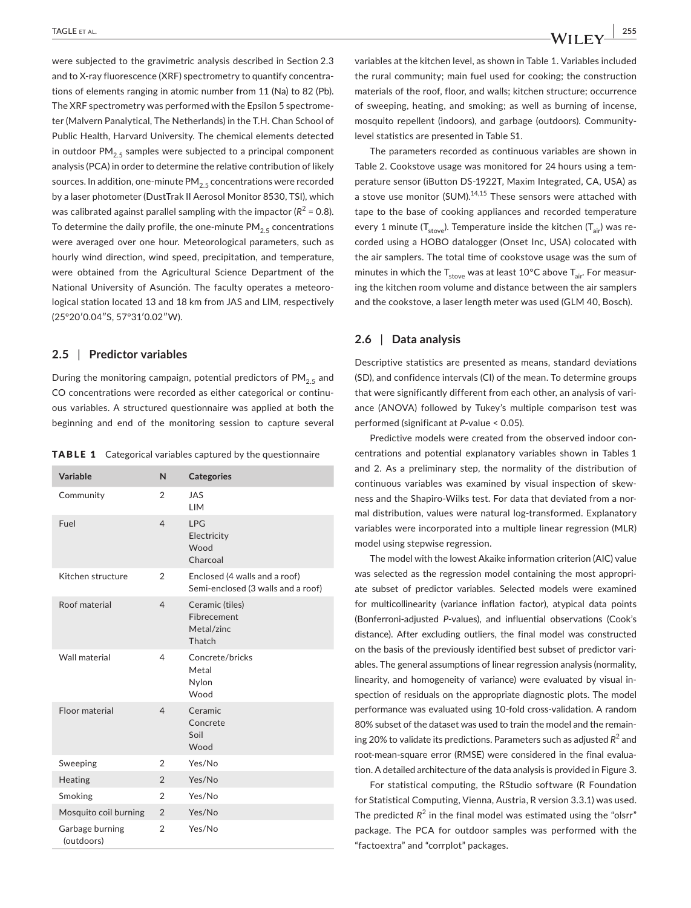were subjected to the gravimetric analysis described in Section 2.3 and to X-ray fluorescence (XRF) spectrometry to quantify concentrations of elements ranging in atomic number from 11 (Na) to 82 (Pb). The XRF spectrometry was performed with the Epsilon 5 spectrometer (Malvern Panalytical, The Netherlands) in the T.H. Chan School of Public Health, Harvard University. The chemical elements detected in outdoor  $PM_{2.5}$  samples were subjected to a principal component analysis (PCA) in order to determine the relative contribution of likely sources. In addition, one-minute  $PM_{2,5}$  concentrations were recorded by a laser photometer (DustTrak II Aerosol Monitor 8530, TSI), which was calibrated against parallel sampling with the impactor  $(R^2 = 0.8)$ . To determine the daily profile, the one-minute  $PM_{2.5}$  concentrations were averaged over one hour. Meteorological parameters, such as hourly wind direction, wind speed, precipitation, and temperature, were obtained from the Agricultural Science Department of the National University of Asunción. The faculty operates a meteorological station located 13 and 18 km from JAS and LIM, respectively (25°20′0.04″S, 57°31′0.02″W).

### **2.5** | **Predictor variables**

During the monitoring campaign, potential predictors of  $PM_{2.5}$  and CO concentrations were recorded as either categorical or continuous variables. A structured questionnaire was applied at both the beginning and end of the monitoring session to capture several

TABLE 1 Categorical variables captured by the questionnaire

| Variable                      | N              | <b>Categories</b>                                                   |
|-------------------------------|----------------|---------------------------------------------------------------------|
| Community                     | $\overline{2}$ | <b>JAS</b><br><b>LIM</b>                                            |
| Fuel                          | $\overline{4}$ | <b>LPG</b><br>Electricity<br><b>Wood</b><br>Charcoal                |
| Kitchen structure             | $\overline{2}$ | Enclosed (4 walls and a roof)<br>Semi-enclosed (3 walls and a roof) |
| Roof material                 | $\overline{4}$ | Ceramic (tiles)<br>Fibrecement<br>Metal/zinc<br>Thatch              |
| Wall material                 | $\overline{4}$ | Concrete/bricks<br>Metal<br>Nylon<br><b>Wood</b>                    |
| Floor material                | $\overline{4}$ | Ceramic<br>Concrete<br>Soil<br>Wood                                 |
| Sweeping                      | 2              | Yes/No                                                              |
| Heating                       | $\mathfrak{D}$ | Yes/No                                                              |
| Smoking                       | $\overline{2}$ | Yes/No                                                              |
| Mosquito coil burning         | $\overline{2}$ | Yes/No                                                              |
| Garbage burning<br>(outdoors) | $\overline{2}$ | Yes/No                                                              |

variables at the kitchen level, as shown in Table 1. Variables included the rural community; main fuel used for cooking; the construction materials of the roof, floor, and walls; kitchen structure; occurrence of sweeping, heating, and smoking; as well as burning of incense, mosquito repellent (indoors), and garbage (outdoors). Communitylevel statistics are presented in Table S1.

The parameters recorded as continuous variables are shown in Table 2. Cookstove usage was monitored for 24 hours using a temperature sensor (iButton DS-1922T, Maxim Integrated, CA, USA) as a stove use monitor (SUM). $14,15$  These sensors were attached with tape to the base of cooking appliances and recorded temperature every 1 minute  $(T_{\text{stop}})$ . Temperature inside the kitchen  $(T_{\text{air}})$  was recorded using a HOBO datalogger (Onset Inc, USA) colocated with the air samplers. The total time of cookstove usage was the sum of minutes in which the  $T_{\rm stove}$  was at least 10°C above  $T_{\rm air}$ . For measuring the kitchen room volume and distance between the air samplers and the cookstove, a laser length meter was used (GLM 40, Bosch).

#### **2.6** | **Data analysis**

Descriptive statistics are presented as means, standard deviations (SD), and confidence intervals (CI) of the mean. To determine groups that were significantly different from each other, an analysis of variance (ANOVA) followed by Tukey's multiple comparison test was performed (significant at *P*-value < 0.05).

Predictive models were created from the observed indoor concentrations and potential explanatory variables shown in Tables 1 and 2. As a preliminary step, the normality of the distribution of continuous variables was examined by visual inspection of skewness and the Shapiro-Wilks test. For data that deviated from a normal distribution, values were natural log-transformed. Explanatory variables were incorporated into a multiple linear regression (MLR) model using stepwise regression.

The model with the lowest Akaike information criterion (AIC) value was selected as the regression model containing the most appropriate subset of predictor variables. Selected models were examined for multicollinearity (variance inflation factor), atypical data points (Bonferroni-adjusted *P*-values), and influential observations (Cook's distance). After excluding outliers, the final model was constructed on the basis of the previously identified best subset of predictor variables. The general assumptions of linear regression analysis (normality, linearity, and homogeneity of variance) were evaluated by visual inspection of residuals on the appropriate diagnostic plots. The model performance was evaluated using 10-fold cross-validation. A random 80% subset of the dataset was used to train the model and the remaining 20% to validate its predictions. Parameters such as adjusted R<sup>2</sup> and root-mean-square error (RMSE) were considered in the final evaluation. A detailed architecture of the data analysis is provided in Figure 3.

For statistical computing, the RStudio software (R Foundation for Statistical Computing, Vienna, Austria, R version 3.3.1) was used. The predicted  $R^2$  in the final model was estimated using the "olsrr" package. The PCA for outdoor samples was performed with the "factoextra" and "corrplot" packages.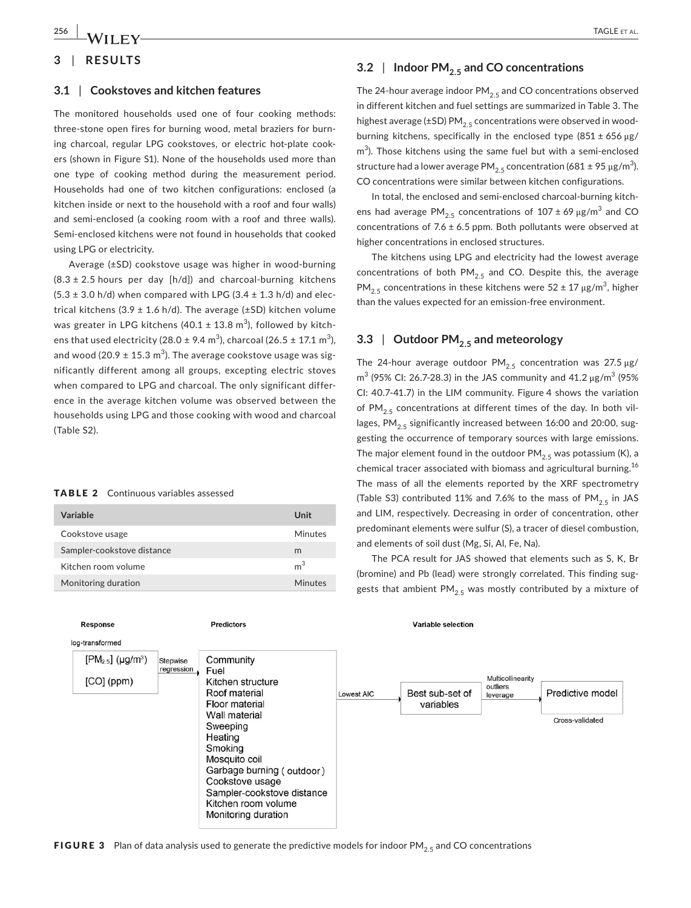## **3** | **RESULTS**

#### **3.1** | **Cookstoves and kitchen features**

The monitored households used one of four cooking methods: three-stone open fires for burning wood, metal braziers for burning charcoal, regular LPG cookstoves, or electric hot-plate cookers (shown in Figure S1). None of the households used more than one type of cooking method during the measurement period. Households had one of two kitchen configurations: enclosed (a kitchen inside or next to the household with a roof and four walls) and semi-enclosed (a cooking room with a roof and three walls). Semi-enclosed kitchens were not found in households that cooked using LPG or electricity.

Average (±SD) cookstove usage was higher in wood-burning  $(8.3 \pm 2.5 \text{ hours per day } [h/d])$  and charcoal-burning kitchens  $(5.3 \pm 3.0 \text{ h/d})$  when compared with LPG (3.4  $\pm$  1.3 h/d) and electrical kitchens (3.9  $\pm$  1.6 h/d). The average ( $\pm$ SD) kitchen volume was greater in LPG kitchens (40.1  $\pm$  13.8 m<sup>3</sup>), followed by kitchens that used electricity (28.0  $\pm$  9.4 m<sup>3</sup>), charcoal (26.5  $\pm$  17.1 m<sup>3</sup>), and wood (20.9  $\pm$  15.3 m $^3$ ). The average cookstove usage was significantly different among all groups, excepting electric stoves when compared to LPG and charcoal. The only significant difference in the average kitchen volume was observed between the households using LPG and those cooking with wood and charcoal (Table S2).

#### TABLE 2 Continuous variables assessed

| Variable                   | Unit           |
|----------------------------|----------------|
| Cookstove usage            | Minutes        |
| Sampler-cookstove distance | m              |
| Kitchen room volume        | m <sup>3</sup> |
| Monitoring duration        | Minutes        |

## **3.2** | Indoor PM<sub>2.5</sub> and CO concentrations

The 24-hour average indoor  $PM<sub>2.5</sub>$  and CO concentrations observed in different kitchen and fuel settings are summarized in Table 3. The highest average ( $\pm$ SD) PM<sub>2.5</sub> concentrations were observed in woodburning kitchens, specifically in the enclosed type  $(851 \pm 656 \,\mu g)$ m<sup>3</sup>). Those kitchens using the same fuel but with a semi-enclosed structure had a lower average PM $_{2.5}$  concentration (681 ± 95  $\mu$ g/m $^3$ ). CO concentrations were similar between kitchen configurations.

In total, the enclosed and semi-enclosed charcoal-burning kitchens had average  $\textsf{PM}_{2.5}$  concentrations of  $107\pm69$   $\mu\textsf{g}/\textsf{m}^{3}$  and CO concentrations of 7.6  $\pm$  6.5 ppm. Both pollutants were observed at higher concentrations in enclosed structures.

The kitchens using LPG and electricity had the lowest average concentrations of both  $PM_{2.5}$  and CO. Despite this, the average PM<sub>2.5</sub> concentrations in these kitchens were 52 ± 17  $\mu$ g/m<sup>3</sup>, higher than the values expected for an emission-free environment.

## **3.3 |** Outdoor PM<sub>2.5</sub> and meteorology

The 24-hour average outdoor  $PM_{2.5}$  concentration was 27.5  $\mu$ g/  $\text{m}^3$  (95% CI: 26.7-28.3) in the JAS community and 41.2 μg/m<sup>3</sup> (95% CI: 40.7-41.7) in the LIM community. Figure 4 shows the variation of PM<sub>2.5</sub> concentrations at different times of the day. In both villages, PM<sub>2.5</sub> significantly increased between 16:00 and 20:00, suggesting the occurrence of temporary sources with large emissions. The major element found in the outdoor  $PM_{2.5}$  was potassium (K), a chemical tracer associated with biomass and agricultural burning.<sup>16</sup> The mass of all the elements reported by the XRF spectrometry (Table S3) contributed 11% and 7.6% to the mass of PM<sub>2.5</sub> in JAS and LIM, respectively. Decreasing in order of concentration, other predominant elements were sulfur (S), a tracer of diesel combustion, and elements of soil dust (Mg, Si, Al, Fe, Na).

The PCA result for JAS showed that elements such as S, K, Br (bromine) and Pb (lead) were strongly correlated. This finding suggests that ambient  $PM_{2.5}$  was mostly contributed by a mixture of



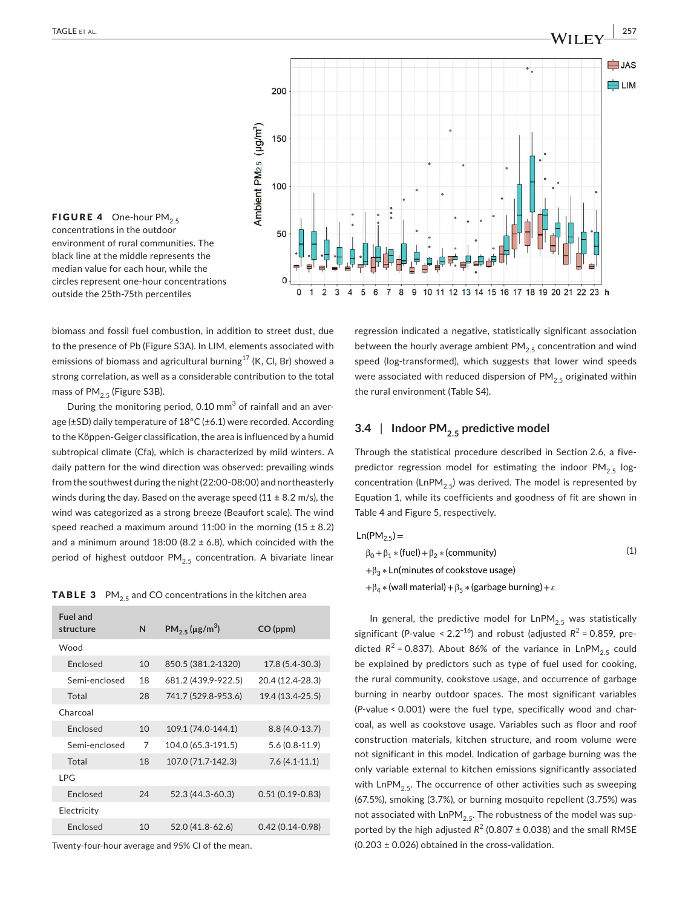



biomass and fossil fuel combustion, in addition to street dust, due to the presence of Pb (Figure S3A). In LIM, elements associated with emissions of biomass and agricultural burning<sup>17</sup> (K, Cl, Br) showed a strong correlation, as well as a considerable contribution to the total mass of  $PM_{2.5}$  (Figure S3B).

During the monitoring period, 0.10  $\textsf{mm}^{3}$  of rainfall and an average (±SD) daily temperature of 18°C (±6.1) were recorded. According to the Köppen-Geiger classification, the area is influenced by a humid subtropical climate (Cfa), which is characterized by mild winters. A daily pattern for the wind direction was observed: prevailing winds from the southwest during the night (22:00-08:00) and northeasterly winds during the day. Based on the average speed (11  $\pm$  8.2 m/s), the wind was categorized as a strong breeze (Beaufort scale). The wind speed reached a maximum around 11:00 in the morning  $(15 \pm 8.2)$ and a minimum around 18:00 (8.2  $\pm$  6.8), which coincided with the period of highest outdoor  $PM_{2.5}$  concentration. A bivariate linear

**TABLE 3** PM<sub>2.5</sub> and CO concentrations in the kitchen area

| <b>Fuel and</b><br>structure | N  | $PM_{2.5}$ (µg/m <sup>3</sup> ) | CO (ppm)            |  |  |
|------------------------------|----|---------------------------------|---------------------|--|--|
| Wood                         |    |                                 |                     |  |  |
| <b>Enclosed</b>              | 10 | 850.5 (381.2-1320)              | 17.8 (5.4-30.3)     |  |  |
| Semi-enclosed                | 18 | 681.2 (439.9-922.5)             | 20.4 (12.4-28.3)    |  |  |
| Total                        | 28 | 741.7 (529.8-953.6)             | 19.4 (13.4-25.5)    |  |  |
| Charcoal                     |    |                                 |                     |  |  |
| <b>Fnclosed</b>              | 10 | 109.1 (74.0-144.1)              | $8.8(4.0-13.7)$     |  |  |
| Semi-enclosed                | 7  | 104.0 (65.3-191.5)              | $5.6(0.8-11.9)$     |  |  |
| Total                        | 18 | 107.0 (71.7-142.3)              | $7.6(4.1-11.1)$     |  |  |
| I PG                         |    |                                 |                     |  |  |
| <b>Fnclosed</b>              | 24 | 52.3 (44.3-60.3)                | $0.51(0.19 - 0.83)$ |  |  |
| Electricity                  |    |                                 |                     |  |  |
| <b>Fnclosed</b>              | 10 | 52.0 (41.8-62.6)                | $0.42(0.14 - 0.98)$ |  |  |
|                              |    |                                 |                     |  |  |

Twenty-four-hour average and 95% CI of the mean.

regression indicated a negative, statistically significant association between the hourly average ambient  $PM_{2.5}$  concentration and wind speed (log-transformed), which suggests that lower wind speeds were associated with reduced dispersion of  $PM_{2.5}$  originated within the rural environment (Table S4).

## **3.4 |** Indoor PM<sub>2.5</sub> predictive model

Through the statistical procedure described in Section 2.6, a fivepredictor regression model for estimating the indoor  $PM_{2.5}$  logconcentration (LnPM<sub>2.5</sub>) was derived. The model is represented by Equation 1, while its coefficients and goodness of fit are shown in Table 4 and Figure 5, respectively.

$$
Ln(PM_{2.5}) =
$$

$$
\beta_0 + \beta_1 * (\text{fuel}) + \beta_2 * (\text{community})
$$
\n
$$
+ \beta_3 * \text{Ln}(\text{minutes of cookstove usage})
$$
\n
$$
+ \beta_4 * (\text{wall material}) + \beta_5 * (\text{garbage burning}) + \varepsilon
$$
\n(1)

In general, the predictive model for  $\text{LnPM}_{2.5}$  was statistically significant (*P*-value < 2.2<sup>-16</sup>) and robust (adjusted  $R^2$  = 0.859, predicted  $R^2$  = 0.837). About 86% of the variance in LnPM<sub>2.5</sub> could be explained by predictors such as type of fuel used for cooking, the rural community, cookstove usage, and occurrence of garbage burning in nearby outdoor spaces. The most significant variables (*P*-value < 0.001) were the fuel type, specifically wood and charcoal, as well as cookstove usage. Variables such as floor and roof construction materials, kitchen structure, and room volume were not significant in this model. Indication of garbage burning was the only variable external to kitchen emissions significantly associated with  $\text{LnPM}_{2.5}$ . The occurrence of other activities such as sweeping (67.5%), smoking (3.7%), or burning mosquito repellent (3.75%) was not associated with  $LnPM<sub>2.5</sub>$ . The robustness of the model was supported by the high adjusted  $R^2$  (0.807  $\pm$  0.038) and the small RMSE  $(0.203 \pm 0.026)$  obtained in the cross-validation.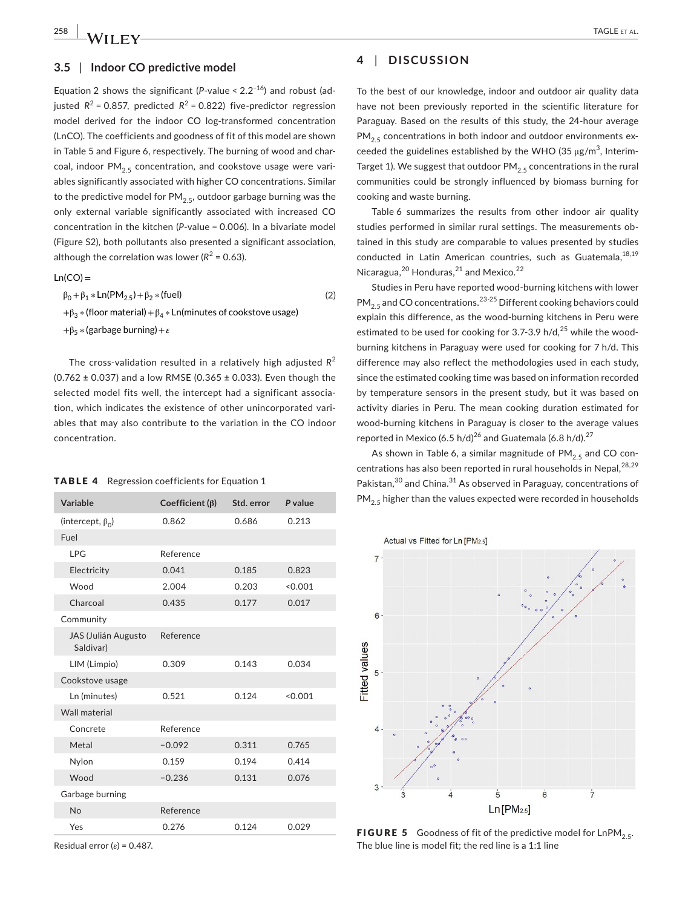#### **3.5** | **Indoor CO predictive model**

Equation 2 shows the significant ( $P$ -value <  $2.2^{-16}$ ) and robust (adjusted  $R^2$  = 0.857, predicted  $R^2$  = 0.822) five-predictor regression model derived for the indoor CO log-transformed concentration (LnCO). The coefficients and goodness of fit of this model are shown in Table 5 and Figure 6, respectively. The burning of wood and charcoal, indoor  $PM_{2.5}$  concentration, and cookstove usage were variables significantly associated with higher CO concentrations. Similar to the predictive model for  $PM_{2.5}$ , outdoor garbage burning was the only external variable significantly associated with increased CO concentration in the kitchen (*P*-value = 0.006). In a bivariate model (Figure S2), both pollutants also presented a significant association, although the correlation was lower ( $R^2$  = 0.63).

$$
Ln(CO) =
$$

(2)  $β_0 + β_1 * Ln(PM_2,5) + β_2 * (fuel)$ + $\beta_3$  \* (floor material) +  $\beta_4$  \* Ln(minutes of cookstove usage)  $+\beta_5 *$  (garbage burning) +  $\varepsilon$ 

The cross-validation resulted in a relatively high adjusted *R*<sup>2</sup> (0.762  $\pm$  0.037) and a low RMSE (0.365  $\pm$  0.033). Even though the selected model fits well, the intercept had a significant association, which indicates the existence of other unincorporated variables that may also contribute to the variation in the CO indoor concentration.

#### TABLE 4 Regression coefficients for Equation 1

| Variable                         | Coefficient $(\beta)$ | Std. error | P value |  |
|----------------------------------|-----------------------|------------|---------|--|
| (intercept, $\beta_0$ )          | 0.862                 | 0.686      | 0.213   |  |
| Fuel                             |                       |            |         |  |
| <b>LPG</b>                       | Reference             |            |         |  |
| Electricity                      | 0.041                 | 0.185      | 0.823   |  |
| Wood                             | 2.004                 | 0.203      | < 0.001 |  |
| Charcoal                         | 0.435                 | 0.177      | 0.017   |  |
| Community                        |                       |            |         |  |
| JAS (Julián Augusto<br>Saldivar) | Reference             |            |         |  |
| LIM (Limpio)                     | 0.309                 | 0.143      | 0.034   |  |
| Cookstove usage                  |                       |            |         |  |
| Ln (minutes)                     | 0.521                 | 0.124      | < 0.001 |  |
| <b>Wall material</b>             |                       |            |         |  |
| Concrete                         | Reference             |            |         |  |
| Metal                            | $-0.092$              | 0.311      | 0.765   |  |
| Nylon                            | 0.159                 | 0.194      | 0.414   |  |
| Wood                             | $-0.236$              | 0.131      | 0.076   |  |
| Garbage burning                  |                       |            |         |  |
| No                               | Reference             |            |         |  |
| Yes                              | 0.276                 | 0.124      | 0.029   |  |

Residual error (ε) = 0.487.

## **4** | **DISCUSSION**

To the best of our knowledge, indoor and outdoor air quality data have not been previously reported in the scientific literature for Paraguay. Based on the results of this study, the 24-hour average  $PM<sub>2.5</sub>$  concentrations in both indoor and outdoor environments exceeded the guidelines established by the WHO (35  $\mu$ g/m $^3$ , Interim-Target 1). We suggest that outdoor  $PM_{2.5}$  concentrations in the rural communities could be strongly influenced by biomass burning for cooking and waste burning.

Table 6 summarizes the results from other indoor air quality studies performed in similar rural settings. The measurements obtained in this study are comparable to values presented by studies conducted in Latin American countries, such as Guatemala, 18,19 Nicaragua, $^{20}$  Honduras, $^{21}$  and Mexico. $^{22}$ 

Studies in Peru have reported wood-burning kitchens with lower  $PM_{2.5}$  and CO concentrations.<sup>23-25</sup> Different cooking behaviors could explain this difference, as the wood-burning kitchens in Peru were estimated to be used for cooking for 3.7-3.9 h/d, $^{25}$  while the woodburning kitchens in Paraguay were used for cooking for 7 h/d. This difference may also reflect the methodologies used in each study, since the estimated cooking time was based on information recorded by temperature sensors in the present study, but it was based on activity diaries in Peru. The mean cooking duration estimated for wood-burning kitchens in Paraguay is closer to the average values reported in Mexico (6.5 h/d)<sup>26</sup> and Guatemala (6.8 h/d).<sup>27</sup>

As shown in Table 6, a similar magnitude of  $PM_{2.5}$  and CO concentrations has also been reported in rural households in Nepal,  $28,29$ Pakistan,<sup>30</sup> and China.<sup>31</sup> As observed in Paraguay, concentrations of  $PM_{2.5}$  higher than the values expected were recorded in households



**FIGURE 5** Goodness of fit of the predictive model for  $\text{LnPM}_{2.5}$ . The blue line is model fit; the red line is a 1:1 line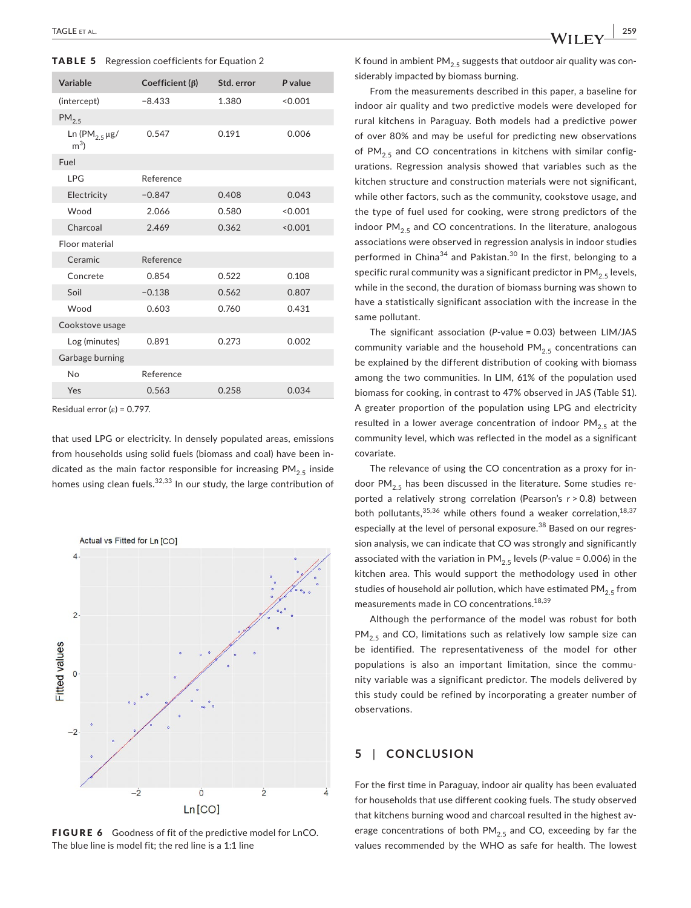|  |  |  |  | <b>TABLE 5</b> Regression coefficients for Equation 2 |  |  |  |  |
|--|--|--|--|-------------------------------------------------------|--|--|--|--|
|--|--|--|--|-------------------------------------------------------|--|--|--|--|

| Variable                                         | Coefficient $(\beta)$ | Std. error | P value |  |
|--------------------------------------------------|-----------------------|------------|---------|--|
| (intercept)                                      | $-8.433$              | 1.380      | < 0.001 |  |
| PM <sub>2.5</sub>                                |                       |            |         |  |
| Ln (PM <sub>2.5</sub> $\mu$ g/<br>m <sup>3</sup> | 0.547                 | 0.191      | 0.006   |  |
| Fuel                                             |                       |            |         |  |
| <b>IPG</b>                                       | Reference             |            |         |  |
| Electricity                                      | $-0.847$              | 0.408      | 0.043   |  |
| Wood                                             | 2.066                 | 0.580      | < 0.001 |  |
| Charcoal                                         | 2.469                 | 0.362      | < 0.001 |  |
| Floor material                                   |                       |            |         |  |
| Ceramic                                          | Reference             |            |         |  |
| Concrete                                         | 0.854                 | 0.522      | 0.108   |  |
| Soil                                             | $-0.138$              | 0.562      | 0.807   |  |
| Wood                                             | 0.603                 | 0.760      | 0.431   |  |
| Cookstove usage                                  |                       |            |         |  |
| Log (minutes)                                    | 0.891                 | 0.273      | 0.002   |  |
| Garbage burning                                  |                       |            |         |  |
| <b>No</b>                                        | Reference             |            |         |  |
| Yes                                              | 0.563                 | 0.258      | 0.034   |  |

Residual error ( $\varepsilon$ ) = 0.797.

that used LPG or electricity. In densely populated areas, emissions from households using solid fuels (biomass and coal) have been indicated as the main factor responsible for increasing  $PM_{2.5}$  inside homes using clean fuels.<sup>32,33</sup> In our study, the large contribution of



FIGURE 6 Goodness of fit of the predictive model for LnCO. The blue line is model fit; the red line is a 1:1 line

K found in ambient PM<sub>2.5</sub> suggests that outdoor air quality was considerably impacted by biomass burning.

From the measurements described in this paper, a baseline for indoor air quality and two predictive models were developed for rural kitchens in Paraguay. Both models had a predictive power of over 80% and may be useful for predicting new observations of PM<sub>2.5</sub> and CO concentrations in kitchens with similar configurations. Regression analysis showed that variables such as the kitchen structure and construction materials were not significant, while other factors, such as the community, cookstove usage, and the type of fuel used for cooking, were strong predictors of the indoor  $PM_{2.5}$  and CO concentrations. In the literature, analogous associations were observed in regression analysis in indoor studies performed in China<sup>34</sup> and Pakistan.<sup>30</sup> In the first, belonging to a specific rural community was a significant predictor in  $PM_{2.5}$  levels, while in the second, the duration of biomass burning was shown to have a statistically significant association with the increase in the same pollutant.

The significant association (*P*-value = 0.03) between LIM/JAS community variable and the household  $PM_{2.5}$  concentrations can be explained by the different distribution of cooking with biomass among the two communities. In LIM, 61% of the population used biomass for cooking, in contrast to 47% observed in JAS (Table S1). A greater proportion of the population using LPG and electricity resulted in a lower average concentration of indoor  $PM_{2.5}$  at the community level, which was reflected in the model as a significant covariate.

The relevance of using the CO concentration as a proxy for indoor PM<sub>2.5</sub> has been discussed in the literature. Some studies reported a relatively strong correlation (Pearson's *r* > 0.8) between both pollutants,  $35,36$  while others found a weaker correlation,  $18,37$ especially at the level of personal exposure.<sup>38</sup> Based on our regression analysis, we can indicate that CO was strongly and significantly associated with the variation in  $PM_{2.5}$  levels (*P*-value = 0.006) in the kitchen area. This would support the methodology used in other studies of household air pollution, which have estimated PM<sub>2.5</sub> from measurements made in CO concentrations.18,39

Although the performance of the model was robust for both  $PM_{2.5}$  and CO, limitations such as relatively low sample size can be identified. The representativeness of the model for other populations is also an important limitation, since the community variable was a significant predictor. The models delivered by this study could be refined by incorporating a greater number of observations.

## **5** | **CONCLUSION**

For the first time in Paraguay, indoor air quality has been evaluated for households that use different cooking fuels. The study observed that kitchens burning wood and charcoal resulted in the highest average concentrations of both  $PM<sub>2.5</sub>$  and CO, exceeding by far the values recommended by the WHO as safe for health. The lowest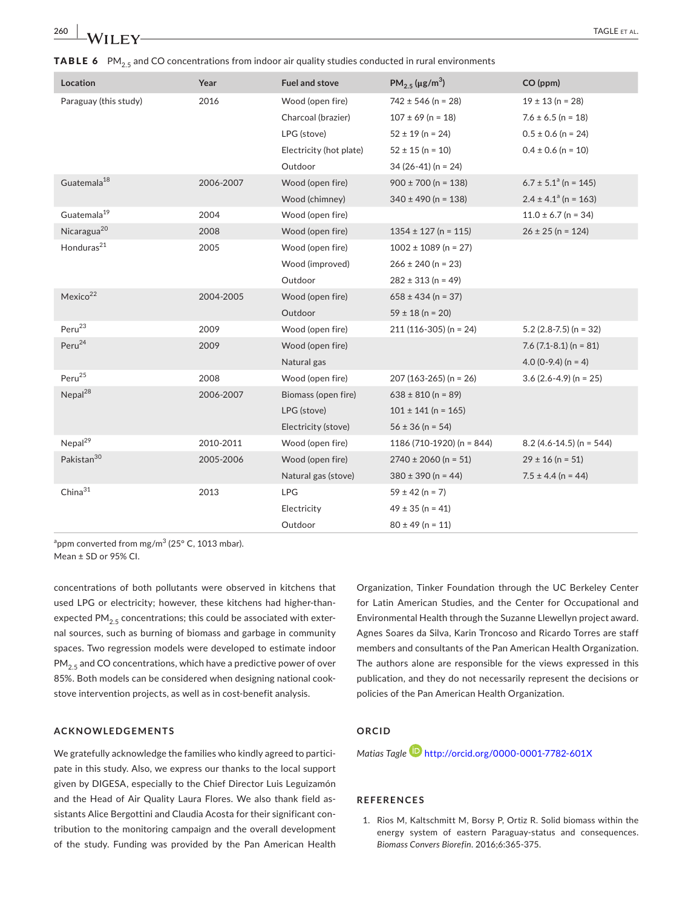| Location                | Year      | <b>Fuel and stove</b>   | $PM_{2.5}$ (µg/m <sup>3</sup> ) | CO (ppm)                             |
|-------------------------|-----------|-------------------------|---------------------------------|--------------------------------------|
| Paraguay (this study)   | 2016      | Wood (open fire)        | $742 \pm 546$ (n = 28)          | $19 \pm 13$ (n = 28)                 |
|                         |           | Charcoal (brazier)      | $107 \pm 69$ (n = 18)           | $7.6 \pm 6.5$ (n = 18)               |
|                         |           | LPG (stove)             | $52 \pm 19$ (n = 24)            | $0.5 \pm 0.6$ (n = 24)               |
|                         |           | Electricity (hot plate) | $52 \pm 15$ (n = 10)            | $0.4 \pm 0.6$ (n = 10)               |
|                         |           | Outdoor                 | $34(26-41)(n = 24)$             |                                      |
| Guatemala <sup>18</sup> | 2006-2007 | Wood (open fire)        | $900 \pm 700$ (n = 138)         | $6.7 \pm 5.1$ <sup>a</sup> (n = 145) |
|                         |           | Wood (chimney)          | $340 \pm 490$ (n = 138)         | $2.4 \pm 4.1$ <sup>a</sup> (n = 163) |
| Guatemala <sup>19</sup> | 2004      | Wood (open fire)        |                                 | $11.0 \pm 6.7$ (n = 34)              |
| Nicaragua <sup>20</sup> | 2008      | Wood (open fire)        | $1354 \pm 127$ (n = 115)        | $26 \pm 25$ (n = 124)                |
| Honduras <sup>21</sup>  | 2005      | Wood (open fire)        | $1002 \pm 1089$ (n = 27)        |                                      |
|                         |           | Wood (improved)         | $266 \pm 240$ (n = 23)          |                                      |
|                         |           | Outdoor                 | $282 \pm 313$ (n = 49)          |                                      |
| Mexico <sup>22</sup>    | 2004-2005 | Wood (open fire)        | $658 \pm 434$ (n = 37)          |                                      |
|                         |           | Outdoor                 | $59 \pm 18$ (n = 20)            |                                      |
| Peru <sup>23</sup>      | 2009      | Wood (open fire)        | $211(116-305)$ (n = 24)         | $5.2$ (2.8-7.5) (n = 32)             |
| Peru <sup>24</sup>      | 2009      | Wood (open fire)        |                                 | $7.6$ (7.1-8.1) (n = 81)             |
|                         |           | Natural gas             |                                 | $4.0(0-9.4)(n = 4)$                  |
| Peru <sup>25</sup>      | 2008      | Wood (open fire)        | $207(163-265)$ (n = 26)         | $3.6(2.6-4.9)$ (n = 25)              |
| Nepal <sup>28</sup>     | 2006-2007 | Biomass (open fire)     | $638 \pm 810$ (n = 89)          |                                      |
|                         |           | LPG (stove)             | $101 \pm 141$ (n = 165)         |                                      |
|                         |           | Electricity (stove)     | $56 \pm 36$ (n = 54)            |                                      |
| Nepal <sup>29</sup>     | 2010-2011 | Wood (open fire)        | 1186 (710-1920) (n = 844)       | $8.2$ (4.6-14.5) (n = 544)           |
| Pakistan <sup>30</sup>  | 2005-2006 | Wood (open fire)        | $2740 \pm 2060$ (n = 51)        | $29 \pm 16$ (n = 51)                 |
|                         |           | Natural gas (stove)     | $380 \pm 390$ (n = 44)          | $7.5 \pm 4.4$ (n = 44)               |
| China <sup>31</sup>     | 2013      | LPG                     | $59 \pm 42$ (n = 7)             |                                      |
|                         |           | Electricity             | $49 \pm 35$ (n = 41)            |                                      |
|                         |           | Outdoor                 | $80 \pm 49$ (n = 11)            |                                      |
|                         |           |                         |                                 |                                      |

**TABLE 6** PM<sub>2.5</sub> and CO concentrations from indoor air quality studies conducted in rural environments

 $\mathrm{^{a}ppm}$  converted from mg/m $\mathrm{^{3}}$  (25° C, 1013 mbar). Mean ± SD or 95% CI.

concentrations of both pollutants were observed in kitchens that used LPG or electricity; however, these kitchens had higher-thanexpected PM<sub>2.5</sub> concentrations; this could be associated with external sources, such as burning of biomass and garbage in community spaces. Two regression models were developed to estimate indoor  $PM<sub>2.5</sub>$  and CO concentrations, which have a predictive power of over 85%. Both models can be considered when designing national cookstove intervention projects, as well as in cost-benefit analysis.

#### **ACKNOWLEDGEMENTS**

We gratefully acknowledge the families who kindly agreed to participate in this study. Also, we express our thanks to the local support given by DIGESA, especially to the Chief Director Luis Leguizamón and the Head of Air Quality Laura Flores. We also thank field assistants Alice Bergottini and Claudia Acosta for their significant contribution to the monitoring campaign and the overall development of the study. Funding was provided by the Pan American Health

Organization, Tinker Foundation through the UC Berkeley Center for Latin American Studies, and the Center for Occupational and Environmental Health through the Suzanne Llewellyn project award. Agnes Soares da Silva, Karin Troncoso and Ricardo Torres are staff members and consultants of the Pan American Health Organization. The authors alone are responsible for the views expressed in this publication, and they do not necessarily represent the decisions or policies of the Pan American Health Organization.

## **ORCID**

*Matias Tagle* <http://orcid.org/0000-0001-7782-601X>

#### **REFERENCES**

1. Rios M, Kaltschmitt M, Borsy P, Ortiz R. Solid biomass within the energy system of eastern Paraguay-status and consequences. *Biomass Convers Biorefin*. 2016;6:365-375.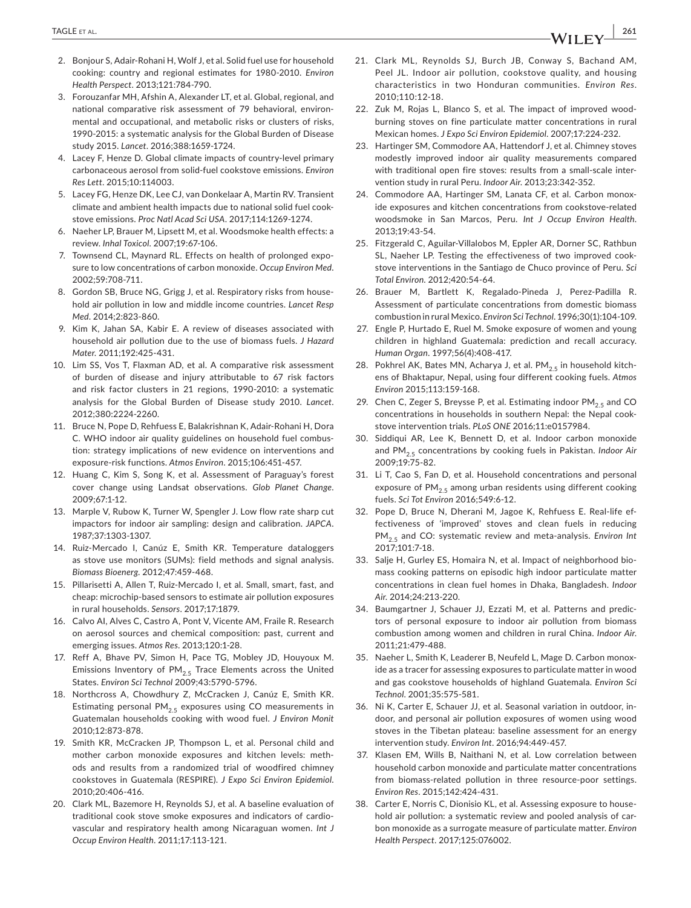- 2. Bonjour S, Adair-Rohani H, Wolf J, et al. Solid fuel use for household cooking: country and regional estimates for 1980-2010. *Environ Health Perspect*. 2013;121:784-790.
- 3. Forouzanfar MH, Afshin A, Alexander LT, et al. Global, regional, and national comparative risk assessment of 79 behavioral, environmental and occupational, and metabolic risks or clusters of risks, 1990-2015: a systematic analysis for the Global Burden of Disease study 2015. *Lancet*. 2016;388:1659-1724.
- 4. Lacey F, Henze D. Global climate impacts of country-level primary carbonaceous aerosol from solid-fuel cookstove emissions. *Environ Res Lett*. 2015;10:114003.
- 5. Lacey FG, Henze DK, Lee CJ, van Donkelaar A, Martin RV. Transient climate and ambient health impacts due to national solid fuel cookstove emissions. *Proc Natl Acad Sci USA*. 2017;114:1269-1274.
- 6. Naeher LP, Brauer M, Lipsett M, et al. Woodsmoke health effects: a review. *Inhal Toxicol*. 2007;19:67-106.
- 7. Townsend CL, Maynard RL. Effects on health of prolonged exposure to low concentrations of carbon monoxide. *Occup Environ Med*. 2002;59:708-711.
- 8. Gordon SB, Bruce NG, Grigg J, et al. Respiratory risks from household air pollution in low and middle income countries. *Lancet Resp Med*. 2014;2:823-860.
- 9. Kim K, Jahan SA, Kabir E. A review of diseases associated with household air pollution due to the use of biomass fuels. *J Hazard Mater*. 2011;192:425-431.
- 10. Lim SS, Vos T, Flaxman AD, et al. A comparative risk assessment of burden of disease and injury attributable to 67 risk factors and risk factor clusters in 21 regions, 1990-2010: a systematic analysis for the Global Burden of Disease study 2010. *Lancet*. 2012;380:2224-2260.
- 11. Bruce N, Pope D, Rehfuess E, Balakrishnan K, Adair-Rohani H, Dora C. WHO indoor air quality guidelines on household fuel combustion: strategy implications of new evidence on interventions and exposure-risk functions. *Atmos Environ*. 2015;106:451-457.
- 12. Huang C, Kim S, Song K, et al. Assessment of Paraguay's forest cover change using Landsat observations. *Glob Planet Change*. 2009;67:1-12.
- 13. Marple V, Rubow K, Turner W, Spengler J. Low flow rate sharp cut impactors for indoor air sampling: design and calibration. *JAPCA*. 1987;37:1303-1307.
- 14. Ruiz-Mercado I, Canúz E, Smith KR. Temperature dataloggers as stove use monitors (SUMs): field methods and signal analysis. *Biomass Bioenerg*. 2012;47:459-468.
- 15. Pillarisetti A, Allen T, Ruiz-Mercado I, et al. Small, smart, fast, and cheap: microchip-based sensors to estimate air pollution exposures in rural households. *Sensors*. 2017;17:1879.
- 16. Calvo AI, Alves C, Castro A, Pont V, Vicente AM, Fraile R. Research on aerosol sources and chemical composition: past, current and emerging issues. *Atmos Res*. 2013;120:1-28.
- 17. Reff A, Bhave PV, Simon H, Pace TG, Mobley JD, Houyoux M. Emissions Inventory of  $PM_{2.5}$  Trace Elements across the United States. *Environ Sci Technol* 2009;43:5790-5796.
- 18. Northcross A, Chowdhury Z, McCracken J, Canúz E, Smith KR. Estimating personal  $PM_{2.5}$  exposures using CO measurements in Guatemalan households cooking with wood fuel. *J Environ Monit* 2010;12:873-878.
- 19. Smith KR, McCracken JP, Thompson L, et al. Personal child and mother carbon monoxide exposures and kitchen levels: methods and results from a randomized trial of woodfired chimney cookstoves in Guatemala (RESPIRE). *J Expo Sci Environ Epidemiol*. 2010;20:406-416.
- 20. Clark ML, Bazemore H, Reynolds SJ, et al. A baseline evaluation of traditional cook stove smoke exposures and indicators of cardiovascular and respiratory health among Nicaraguan women. *Int J Occup Environ Health*. 2011;17:113-121.
- 21. Clark ML, Reynolds SJ, Burch JB, Conway S, Bachand AM, Peel JL. Indoor air pollution, cookstove quality, and housing characteristics in two Honduran communities. *Environ Res*. 2010;110:12-18.
- 22. Zuk M, Rojas L, Blanco S, et al. The impact of improved woodburning stoves on fine particulate matter concentrations in rural Mexican homes. *J Expo Sci Environ Epidemiol*. 2007;17:224-232.
- 23. Hartinger SM, Commodore AA, Hattendorf J, et al. Chimney stoves modestly improved indoor air quality measurements compared with traditional open fire stoves: results from a small-scale intervention study in rural Peru. *Indoor Air*. 2013;23:342-352.
- 24. Commodore AA, Hartinger SM, Lanata CF, et al. Carbon monoxide exposures and kitchen concentrations from cookstove-related woodsmoke in San Marcos, Peru. *Int J Occup Environ Health*. 2013;19:43-54.
- 25. Fitzgerald C, Aguilar-Villalobos M, Eppler AR, Dorner SC, Rathbun SL, Naeher LP. Testing the effectiveness of two improved cookstove interventions in the Santiago de Chuco province of Peru. *Sci Total Environ*. 2012;420:54-64.
- 26. Brauer M, Bartlett K, Regalado-Pineda J, Perez-Padilla R. Assessment of particulate concentrations from domestic biomass combustion in rural Mexico. *Environ Sci Technol*. 1996;30(1):104-109.
- 27. Engle P, Hurtado E, Ruel M. Smoke exposure of women and young children in highland Guatemala: prediction and recall accuracy. *Human Organ*. 1997;56(4):408-417.
- 28. Pokhrel AK, Bates MN, Acharya J, et al. PM $_{2.5}$  in household kitchens of Bhaktapur, Nepal, using four different cooking fuels. *Atmos Environ* 2015;113:159-168.
- 29. Chen C, Zeger S, Breysse P, et al. Estimating indoor  $PM_{2.5}$  and CO concentrations in households in southern Nepal: the Nepal cookstove intervention trials. *PLoS ONE* 2016;11:e0157984.
- 30. Siddiqui AR, Lee K, Bennett D, et al. Indoor carbon monoxide and PM<sub>2.5</sub> concentrations by cooking fuels in Pakistan. *Indoor Air* 2009;19:75-82.
- 31. Li T, Cao S, Fan D, et al. Household concentrations and personal exposure of  $PM_{2.5}$  among urban residents using different cooking fuels. *Sci Tot Environ* 2016;549:6-12.
- 32. Pope D, Bruce N, Dherani M, Jagoe K, Rehfuess E. Real-life effectiveness of 'improved' stoves and clean fuels in reducing PM2.5 and CO: systematic review and meta-analysis. *Environ Int* 2017;101:7-18.
- 33. Salje H, Gurley ES, Homaira N, et al. Impact of neighborhood biomass cooking patterns on episodic high indoor particulate matter concentrations in clean fuel homes in Dhaka, Bangladesh. *Indoor Air*. 2014;24:213-220.
- 34. Baumgartner J, Schauer JJ, Ezzati M, et al. Patterns and predictors of personal exposure to indoor air pollution from biomass combustion among women and children in rural China. *Indoor Air*. 2011;21:479-488.
- 35. Naeher L, Smith K, Leaderer B, Neufeld L, Mage D. Carbon monoxide as a tracer for assessing exposures to particulate matter in wood and gas cookstove households of highland Guatemala. *Environ Sci Technol*. 2001;35:575-581.
- 36. Ni K, Carter E, Schauer JJ, et al. Seasonal variation in outdoor, indoor, and personal air pollution exposures of women using wood stoves in the Tibetan plateau: baseline assessment for an energy intervention study. *Environ Int*. 2016;94:449-457.
- 37. Klasen EM, Wills B, Naithani N, et al. Low correlation between household carbon monoxide and particulate matter concentrations from biomass-related pollution in three resource-poor settings. *Environ Res*. 2015;142:424-431.
- 38. Carter E, Norris C, Dionisio KL, et al. Assessing exposure to household air pollution: a systematic review and pooled analysis of carbon monoxide as a surrogate measure of particulate matter. *Environ Health Perspect*. 2017;125:076002.